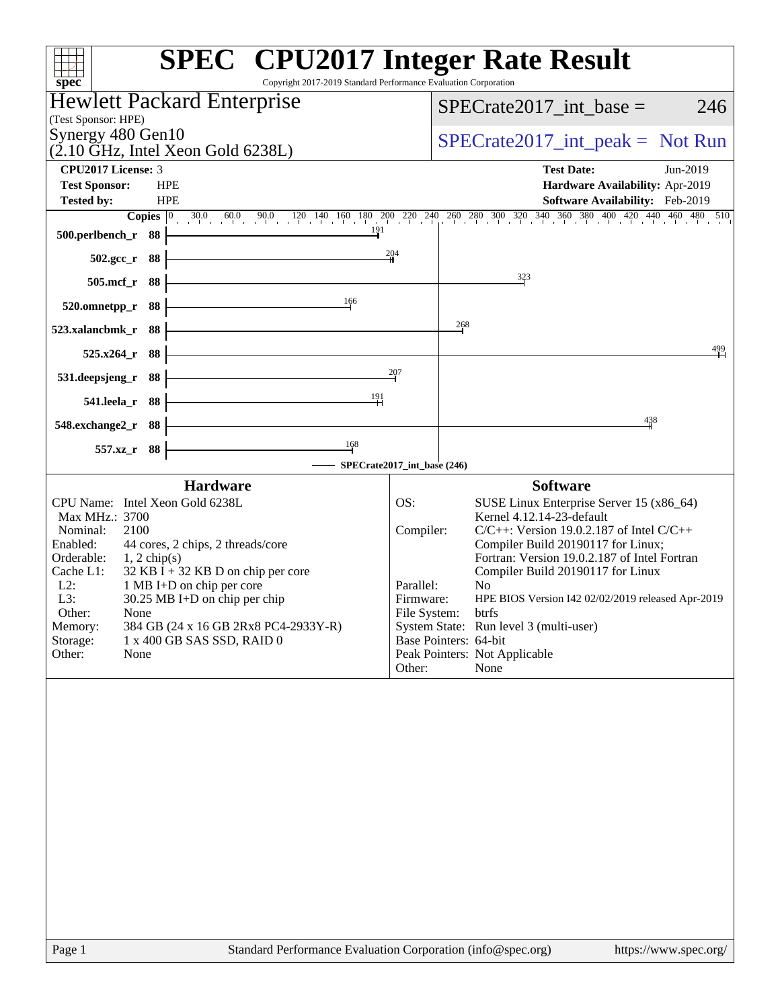| Copyright 2017-2019 Standard Performance Evaluation Corporation<br>spec <sup>®</sup>                                                                                                                                                                                                                                                                                                                                                           |                                                      | <b>SPEC<sup>®</sup></b> CPU2017 Integer Rate Result                                                                                                                                                                                                                                                                                                                                                                                                                              |
|------------------------------------------------------------------------------------------------------------------------------------------------------------------------------------------------------------------------------------------------------------------------------------------------------------------------------------------------------------------------------------------------------------------------------------------------|------------------------------------------------------|----------------------------------------------------------------------------------------------------------------------------------------------------------------------------------------------------------------------------------------------------------------------------------------------------------------------------------------------------------------------------------------------------------------------------------------------------------------------------------|
| <b>Hewlett Packard Enterprise</b>                                                                                                                                                                                                                                                                                                                                                                                                              |                                                      | 246                                                                                                                                                                                                                                                                                                                                                                                                                                                                              |
| (Test Sponsor: HPE)                                                                                                                                                                                                                                                                                                                                                                                                                            |                                                      | $SPECrate2017\_int\_base =$                                                                                                                                                                                                                                                                                                                                                                                                                                                      |
| Synergy 480 Gen10<br>$(2.10 \text{ GHz}, \text{Intel Xeon Gold } 6238L)$                                                                                                                                                                                                                                                                                                                                                                       |                                                      | $SPECrate2017\_int\_peak = Not Run$                                                                                                                                                                                                                                                                                                                                                                                                                                              |
| <b>CPU2017 License: 3</b>                                                                                                                                                                                                                                                                                                                                                                                                                      |                                                      | <b>Test Date:</b><br>Jun-2019                                                                                                                                                                                                                                                                                                                                                                                                                                                    |
| <b>Test Sponsor:</b><br><b>HPE</b><br><b>Tested by:</b><br><b>HPE</b>                                                                                                                                                                                                                                                                                                                                                                          |                                                      | Hardware Availability: Apr-2019<br><b>Software Availability:</b> Feb-2019                                                                                                                                                                                                                                                                                                                                                                                                        |
|                                                                                                                                                                                                                                                                                                                                                                                                                                                |                                                      | <b>Copies</b> $\begin{bmatrix} 0 & 30.0 & 60.0 & 90.0 & 120 & 140 & 160 & 180 & 200 & 220 & 240 & 260 & 280 & 300 & 320 & 340 & 360 & 380 & 400 & 420 & 440 & 460 & 480 & 510 \end{bmatrix}$                                                                                                                                                                                                                                                                                     |
| 191<br>500.perlbench_r 88                                                                                                                                                                                                                                                                                                                                                                                                                      |                                                      |                                                                                                                                                                                                                                                                                                                                                                                                                                                                                  |
| 502.gcc_r 88                                                                                                                                                                                                                                                                                                                                                                                                                                   | 204                                                  |                                                                                                                                                                                                                                                                                                                                                                                                                                                                                  |
| $505$ .mcf_r<br>- 88                                                                                                                                                                                                                                                                                                                                                                                                                           |                                                      | 323                                                                                                                                                                                                                                                                                                                                                                                                                                                                              |
| 166<br>88<br>520.omnetpp_r                                                                                                                                                                                                                                                                                                                                                                                                                     |                                                      |                                                                                                                                                                                                                                                                                                                                                                                                                                                                                  |
| 523.xalancbmk_r<br>88                                                                                                                                                                                                                                                                                                                                                                                                                          |                                                      | 268                                                                                                                                                                                                                                                                                                                                                                                                                                                                              |
| 88<br>$525.x264$ _r                                                                                                                                                                                                                                                                                                                                                                                                                            |                                                      | 499                                                                                                                                                                                                                                                                                                                                                                                                                                                                              |
| 88<br>531.deepsjeng_r                                                                                                                                                                                                                                                                                                                                                                                                                          | $\frac{207}{2}$                                      |                                                                                                                                                                                                                                                                                                                                                                                                                                                                                  |
| $\frac{191}{1}$<br>541.leela_r 88                                                                                                                                                                                                                                                                                                                                                                                                              |                                                      |                                                                                                                                                                                                                                                                                                                                                                                                                                                                                  |
| 548.exchange2_r 88                                                                                                                                                                                                                                                                                                                                                                                                                             |                                                      | 438                                                                                                                                                                                                                                                                                                                                                                                                                                                                              |
| $\frac{168}{1}$<br>557.xz<br>88                                                                                                                                                                                                                                                                                                                                                                                                                |                                                      |                                                                                                                                                                                                                                                                                                                                                                                                                                                                                  |
|                                                                                                                                                                                                                                                                                                                                                                                                                                                |                                                      | SPECrate2017_int_base (246)                                                                                                                                                                                                                                                                                                                                                                                                                                                      |
| <b>Hardware</b><br>CPU Name: Intel Xeon Gold 6238L<br>Max MHz.: 3700<br>2100<br>Nominal:<br>Enabled:<br>44 cores, 2 chips, 2 threads/core<br>Orderable:<br>$1, 2$ chip(s)<br>Cache L1:<br>$32$ KB I + 32 KB D on chip per core<br>$L2$ :<br>1 MB I+D on chip per core<br>L3:<br>30.25 MB I+D on chip per chip<br>Other:<br>None<br>Memory:<br>384 GB (24 x 16 GB 2Rx8 PC4-2933Y-R)<br>Storage:<br>1 x 400 GB SAS SSD, RAID 0<br>Other:<br>None | OS:<br>Compiler:<br>Parallel:<br>Firmware:<br>Other: | <b>Software</b><br>SUSE Linux Enterprise Server 15 (x86_64)<br>Kernel 4.12.14-23-default<br>$C/C++$ : Version 19.0.2.187 of Intel $C/C++$<br>Compiler Build 20190117 for Linux;<br>Fortran: Version 19.0.2.187 of Intel Fortran<br>Compiler Build 20190117 for Linux<br>N <sub>0</sub><br>HPE BIOS Version I42 02/02/2019 released Apr-2019<br>File System:<br>btrfs<br>System State: Run level 3 (multi-user)<br>Base Pointers: 64-bit<br>Peak Pointers: Not Applicable<br>None |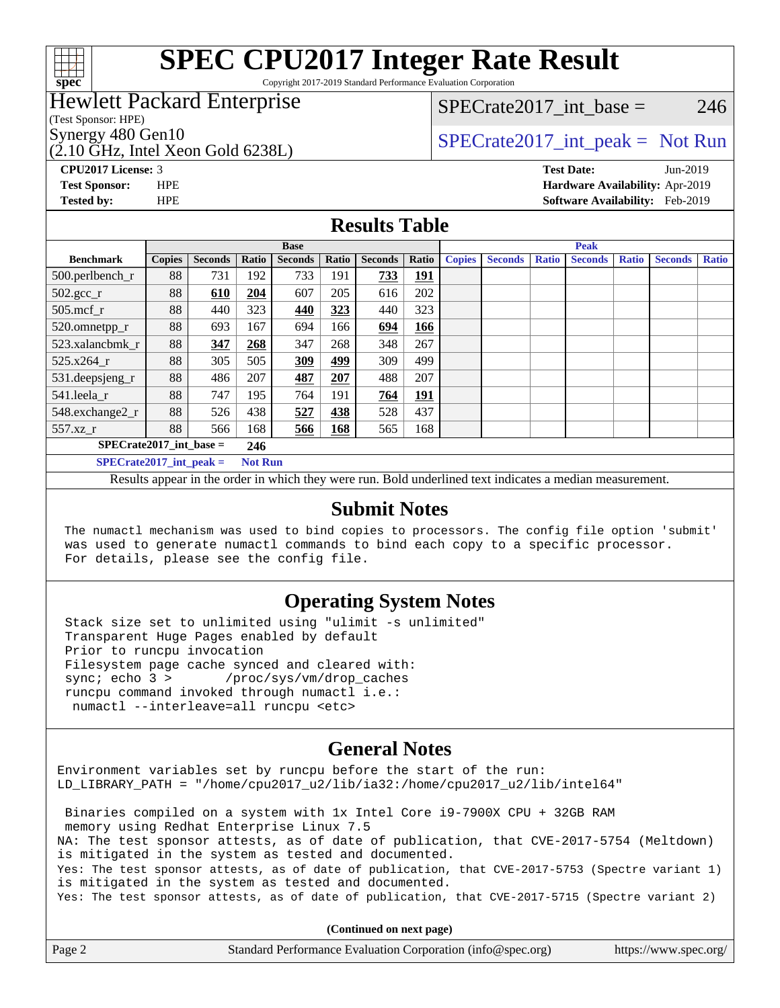

Copyright 2017-2019 Standard Performance Evaluation Corporation

### Hewlett Packard Enterprise

(Test Sponsor: HPE)

(2.10 GHz, Intel Xeon Gold 6238L)

SPECrate  $2017$  int base = 246

## Synergy 480 Gen10  $S^{per}$  [SPECrate2017\\_int\\_peak =](http://www.spec.org/auto/cpu2017/Docs/result-fields.html#SPECrate2017intpeak) Not Run

# **[CPU2017 License:](http://www.spec.org/auto/cpu2017/Docs/result-fields.html#CPU2017License)** 3 **[Test Date:](http://www.spec.org/auto/cpu2017/Docs/result-fields.html#TestDate)** Jun-2019

**[Test Sponsor:](http://www.spec.org/auto/cpu2017/Docs/result-fields.html#TestSponsor)** HPE **[Hardware Availability:](http://www.spec.org/auto/cpu2017/Docs/result-fields.html#HardwareAvailability)** Apr-2019 **[Tested by:](http://www.spec.org/auto/cpu2017/Docs/result-fields.html#Testedby)** HPE **[Software Availability:](http://www.spec.org/auto/cpu2017/Docs/result-fields.html#SoftwareAvailability)** Feb-2019

### **[Results Table](http://www.spec.org/auto/cpu2017/Docs/result-fields.html#ResultsTable)**

|                           | <b>Base</b>   |                |                |                |       | <b>Peak</b>    |            |               |                |              |                |              |                |              |
|---------------------------|---------------|----------------|----------------|----------------|-------|----------------|------------|---------------|----------------|--------------|----------------|--------------|----------------|--------------|
| <b>Benchmark</b>          | <b>Copies</b> | <b>Seconds</b> | Ratio          | <b>Seconds</b> | Ratio | <b>Seconds</b> | Ratio      | <b>Copies</b> | <b>Seconds</b> | <b>Ratio</b> | <b>Seconds</b> | <b>Ratio</b> | <b>Seconds</b> | <b>Ratio</b> |
| 500.perlbench_r           | 88            | 731            | 192            | 733            | 191   | 733            | <u>191</u> |               |                |              |                |              |                |              |
| $502.\text{gcc}_r$        | 88            | 610            | 204            | 607            | 205   | 616            | 202        |               |                |              |                |              |                |              |
| $505$ .mcf r              | 88            | 440            | 323            | 440            | 323   | 440            | 323        |               |                |              |                |              |                |              |
| 520.omnetpp_r             | 88            | 693            | 167            | 694            | 166   | 694            | 166        |               |                |              |                |              |                |              |
| 523.xalancbmk r           | 88            | 347            | 268            | 347            | 268   | 348            | 267        |               |                |              |                |              |                |              |
| $525.x264_r$              | 88            | 305            | 505            | 309            | 499   | 309            | 499        |               |                |              |                |              |                |              |
| 531.deepsjeng_r           | 88            | 486            | 207            | 487            | 207   | 488            | 207        |               |                |              |                |              |                |              |
| 541.leela r               | 88            | 747            | 195            | 764            | 191   | 764            | <u>191</u> |               |                |              |                |              |                |              |
| 548.exchange2_r           | 88            | 526            | 438            | 527            | 438   | 528            | 437        |               |                |              |                |              |                |              |
| 557.xz                    | 88            | 566            | 168            | 566            | 168   | 565            | 168        |               |                |              |                |              |                |              |
| $SPECrate2017$ int base = |               |                | 246            |                |       |                |            |               |                |              |                |              |                |              |
| $SPECrate2017$ int peak = |               |                | <b>Not Run</b> |                |       |                |            |               |                |              |                |              |                |              |

Results appear in the [order in which they were run](http://www.spec.org/auto/cpu2017/Docs/result-fields.html#RunOrder). Bold underlined text [indicates a median measurement](http://www.spec.org/auto/cpu2017/Docs/result-fields.html#Median).

#### **[Submit Notes](http://www.spec.org/auto/cpu2017/Docs/result-fields.html#SubmitNotes)**

 The numactl mechanism was used to bind copies to processors. The config file option 'submit' was used to generate numactl commands to bind each copy to a specific processor. For details, please see the config file.

### **[Operating System Notes](http://www.spec.org/auto/cpu2017/Docs/result-fields.html#OperatingSystemNotes)**

 Stack size set to unlimited using "ulimit -s unlimited" Transparent Huge Pages enabled by default Prior to runcpu invocation Filesystem page cache synced and cleared with: sync; echo 3 > /proc/sys/vm/drop\_caches runcpu command invoked through numactl i.e.: numactl --interleave=all runcpu <etc>

### **[General Notes](http://www.spec.org/auto/cpu2017/Docs/result-fields.html#GeneralNotes)**

Environment variables set by runcpu before the start of the run: LD\_LIBRARY\_PATH = "/home/cpu2017\_u2/lib/ia32:/home/cpu2017\_u2/lib/intel64"

 Binaries compiled on a system with 1x Intel Core i9-7900X CPU + 32GB RAM memory using Redhat Enterprise Linux 7.5 NA: The test sponsor attests, as of date of publication, that CVE-2017-5754 (Meltdown) is mitigated in the system as tested and documented. Yes: The test sponsor attests, as of date of publication, that CVE-2017-5753 (Spectre variant 1) is mitigated in the system as tested and documented. Yes: The test sponsor attests, as of date of publication, that CVE-2017-5715 (Spectre variant 2)

**(Continued on next page)**

| Page 2 | Standard Performance Evaluation Corporation (info@spec.org) | https://www.spec.org/ |
|--------|-------------------------------------------------------------|-----------------------|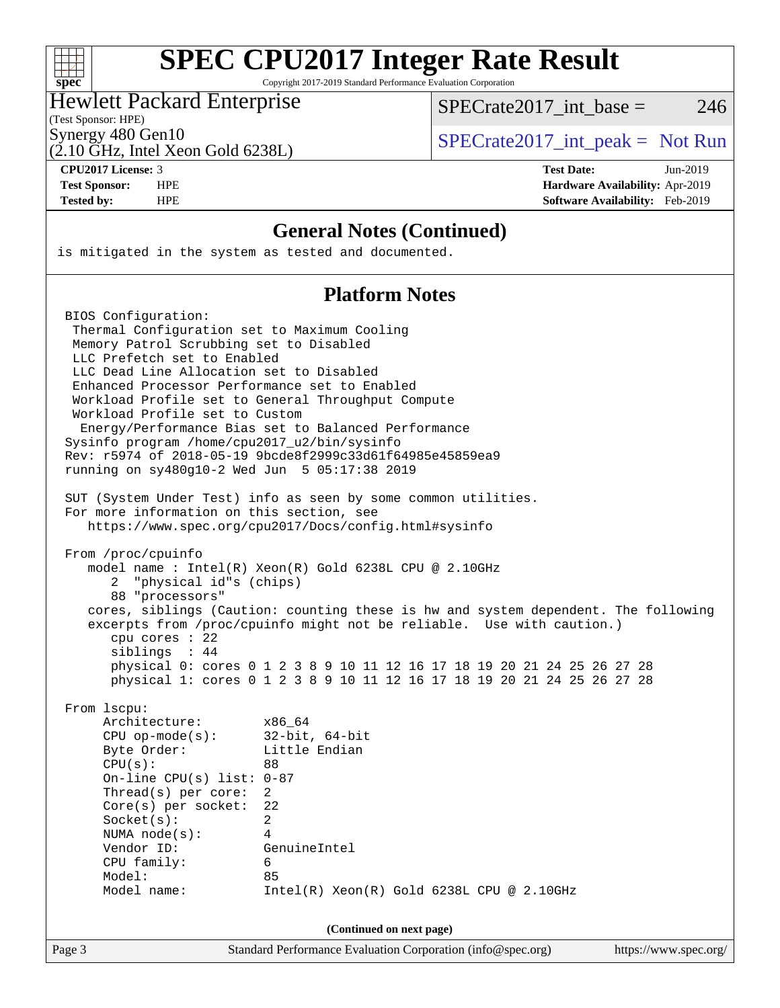|  | spe | Ú |  |
|--|-----|---|--|

Copyright 2017-2019 Standard Performance Evaluation Corporation

### Hewlett Packard Enterprise

SPECrate  $2017$  int base = 246

(Test Sponsor: HPE) (2.10 GHz, Intel Xeon Gold 6238L)

Synergy 480 Gen10  $SPECrate2017$ \_int\_peak = Not Run

**[CPU2017 License:](http://www.spec.org/auto/cpu2017/Docs/result-fields.html#CPU2017License)** 3 **[Test Date:](http://www.spec.org/auto/cpu2017/Docs/result-fields.html#TestDate)** Jun-2019 **[Test Sponsor:](http://www.spec.org/auto/cpu2017/Docs/result-fields.html#TestSponsor)** HPE **[Hardware Availability:](http://www.spec.org/auto/cpu2017/Docs/result-fields.html#HardwareAvailability)** Apr-2019 **[Tested by:](http://www.spec.org/auto/cpu2017/Docs/result-fields.html#Testedby)** HPE **[Software Availability:](http://www.spec.org/auto/cpu2017/Docs/result-fields.html#SoftwareAvailability)** Feb-2019

### **[General Notes \(Continued\)](http://www.spec.org/auto/cpu2017/Docs/result-fields.html#GeneralNotes)**

is mitigated in the system as tested and documented.

### **[Platform Notes](http://www.spec.org/auto/cpu2017/Docs/result-fields.html#PlatformNotes)**

Page 3 Standard Performance Evaluation Corporation [\(info@spec.org\)](mailto:info@spec.org) <https://www.spec.org/> BIOS Configuration: Thermal Configuration set to Maximum Cooling Memory Patrol Scrubbing set to Disabled LLC Prefetch set to Enabled LLC Dead Line Allocation set to Disabled Enhanced Processor Performance set to Enabled Workload Profile set to General Throughput Compute Workload Profile set to Custom Energy/Performance Bias set to Balanced Performance Sysinfo program /home/cpu2017\_u2/bin/sysinfo Rev: r5974 of 2018-05-19 9bcde8f2999c33d61f64985e45859ea9 running on sy480g10-2 Wed Jun 5 05:17:38 2019 SUT (System Under Test) info as seen by some common utilities. For more information on this section, see <https://www.spec.org/cpu2017/Docs/config.html#sysinfo> From /proc/cpuinfo model name : Intel(R) Xeon(R) Gold 6238L CPU @ 2.10GHz 2 "physical id"s (chips) 88 "processors" cores, siblings (Caution: counting these is hw and system dependent. The following excerpts from /proc/cpuinfo might not be reliable. Use with caution.) cpu cores : 22 siblings : 44 physical 0: cores 0 1 2 3 8 9 10 11 12 16 17 18 19 20 21 24 25 26 27 28 physical 1: cores 0 1 2 3 8 9 10 11 12 16 17 18 19 20 21 24 25 26 27 28 From lscpu: Architecture: x86\_64 CPU op-mode(s): 32-bit, 64-bit Byte Order: Little Endian  $CPU(s):$  88 On-line CPU(s) list: 0-87 Thread(s) per core: 2 Core(s) per socket: 22 Socket(s): 2 NUMA node(s): 4 Vendor ID: GenuineIntel CPU family: 6 Model: 85 Model name: Intel(R) Xeon(R) Gold 6238L CPU @ 2.10GHz **(Continued on next page)**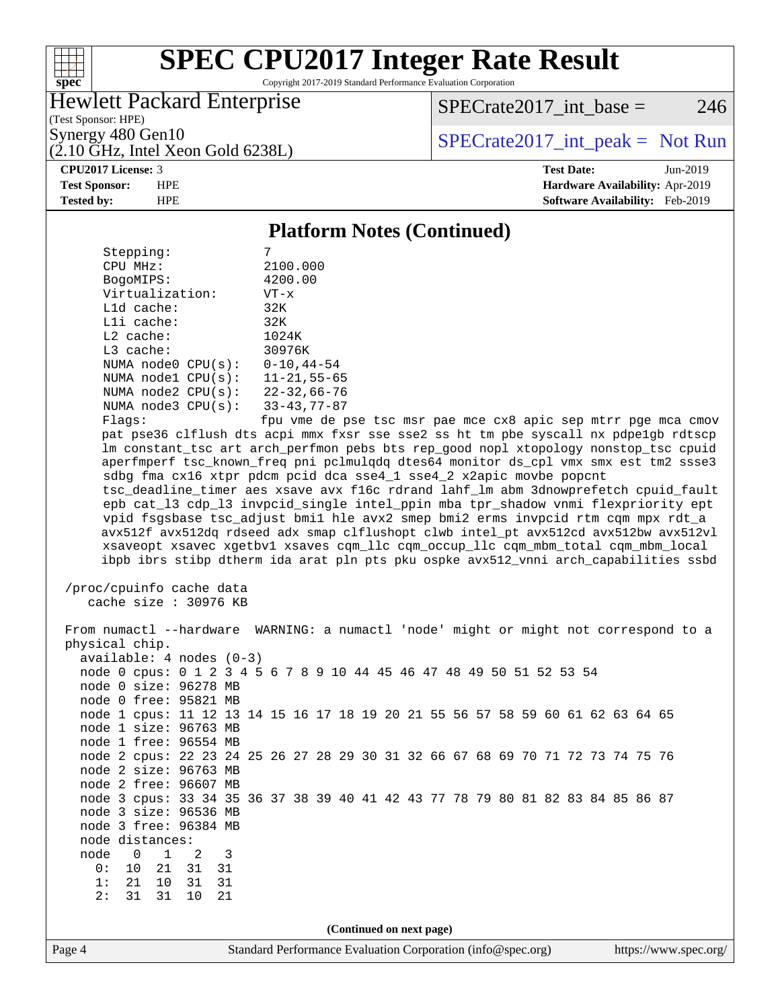

Copyright 2017-2019 Standard Performance Evaluation Corporation

### Hewlett Packard Enterprise

(2.10 GHz, Intel Xeon Gold 6238L)

 $SPECTate2017\_int\_base = 246$ 

(Test Sponsor: HPE)

Synergy 480 Gen10  $SPECrate2017$ \_int\_peak = Not Run

**[CPU2017 License:](http://www.spec.org/auto/cpu2017/Docs/result-fields.html#CPU2017License)** 3 **[Test Date:](http://www.spec.org/auto/cpu2017/Docs/result-fields.html#TestDate)** Jun-2019 **[Test Sponsor:](http://www.spec.org/auto/cpu2017/Docs/result-fields.html#TestSponsor)** HPE **[Hardware Availability:](http://www.spec.org/auto/cpu2017/Docs/result-fields.html#HardwareAvailability)** Apr-2019 **[Tested by:](http://www.spec.org/auto/cpu2017/Docs/result-fields.html#Testedby)** HPE **[Software Availability:](http://www.spec.org/auto/cpu2017/Docs/result-fields.html#SoftwareAvailability)** Feb-2019

#### **[Platform Notes \(Continued\)](http://www.spec.org/auto/cpu2017/Docs/result-fields.html#PlatformNotes)**

| Stepping:              |                    |
|------------------------|--------------------|
| CPU MHz:               | 2100.000           |
| BogoMIPS:              | 4200.00            |
| Virtualization:        | $VT - x$           |
| $L1d$ cache:           | 32K                |
| $L1i$ cache:           | 32K                |
| $L2$ cache:            | 1024K              |
| $L3$ cache:            | 30976K             |
| NUMA $node0$ $CPU(s):$ | $0 - 10, 44 - 54$  |
| NUMA nodel CPU(s):     | $11 - 21, 55 - 65$ |
| NUMA node2 CPU(s):     | $22 - 32,66 - 76$  |
| NUMA node3 CPU(s):     | $33 - 43, 77 - 87$ |
| Flags:                 | fnu vme de r       |

fpu vme de pse tsc msr pae mce cx8 apic sep mtrr pge mca cmov pat pse36 clflush dts acpi mmx fxsr sse sse2 ss ht tm pbe syscall nx pdpe1gb rdtscp lm constant\_tsc art arch\_perfmon pebs bts rep\_good nopl xtopology nonstop\_tsc cpuid aperfmperf tsc\_known\_freq pni pclmulqdq dtes64 monitor ds\_cpl vmx smx est tm2 ssse3 sdbg fma cx16 xtpr pdcm pcid dca sse4\_1 sse4\_2 x2apic movbe popcnt tsc\_deadline\_timer aes xsave avx f16c rdrand lahf\_lm abm 3dnowprefetch cpuid\_fault epb cat\_l3 cdp\_l3 invpcid\_single intel\_ppin mba tpr\_shadow vnmi flexpriority ept vpid fsgsbase tsc\_adjust bmi1 hle avx2 smep bmi2 erms invpcid rtm cqm mpx rdt\_a avx512f avx512dq rdseed adx smap clflushopt clwb intel\_pt avx512cd avx512bw avx512vl xsaveopt xsavec xgetbv1 xsaves cqm\_llc cqm\_occup\_llc cqm\_mbm\_total cqm\_mbm\_local ibpb ibrs stibp dtherm ida arat pln pts pku ospke avx512\_vnni arch\_capabilities ssbd

```
 /proc/cpuinfo cache data
   cache size : 30976 KB
```
Page 4 Standard Performance Evaluation Corporation [\(info@spec.org\)](mailto:info@spec.org) <https://www.spec.org/> From numactl --hardware WARNING: a numactl 'node' might or might not correspond to a physical chip. available: 4 nodes (0-3) node 0 cpus: 0 1 2 3 4 5 6 7 8 9 10 44 45 46 47 48 49 50 51 52 53 54 node 0 size: 96278 MB node 0 free: 95821 MB node 1 cpus: 11 12 13 14 15 16 17 18 19 20 21 55 56 57 58 59 60 61 62 63 64 65 node 1 size: 96763 MB node 1 free: 96554 MB node 2 cpus: 22 23 24 25 26 27 28 29 30 31 32 66 67 68 69 70 71 72 73 74 75 76 node 2 size: 96763 MB node 2 free: 96607 MB node 3 cpus: 33 34 35 36 37 38 39 40 41 42 43 77 78 79 80 81 82 83 84 85 86 87 node 3 size: 96536 MB node 3 free: 96384 MB node distances: node 0 1 2 3 0: 10 21 31 31 1: 21 10 31 31 2: 31 31 10 21 **(Continued on next page)**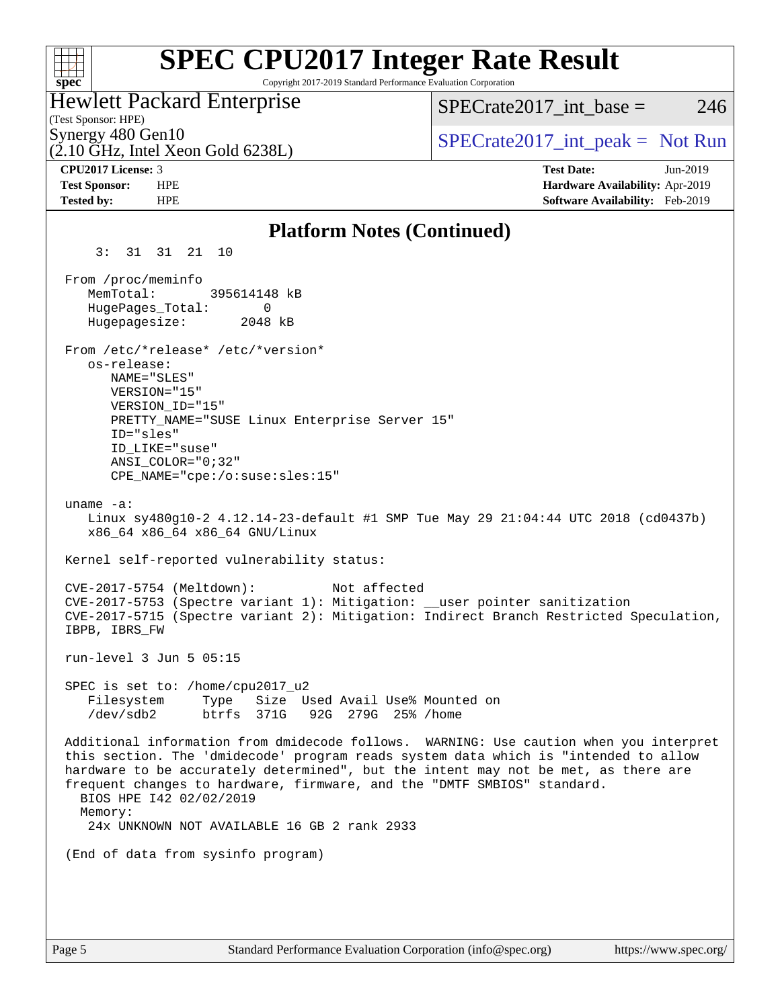| <b>SPEC CPU2017 Integer Rate Result</b><br>Copyright 2017-2019 Standard Performance Evaluation Corporation<br>spec <sup>®</sup>                                                                                                                                                                                                                                                                                                     |                                                                                                     |
|-------------------------------------------------------------------------------------------------------------------------------------------------------------------------------------------------------------------------------------------------------------------------------------------------------------------------------------------------------------------------------------------------------------------------------------|-----------------------------------------------------------------------------------------------------|
| <b>Hewlett Packard Enterprise</b><br>(Test Sponsor: HPE)                                                                                                                                                                                                                                                                                                                                                                            | $SPECrate2017\_int\_base =$<br>246                                                                  |
| Synergy 480 Gen10<br>$(2.10 \text{ GHz}, \text{Intel Xeon Gold } 6238L)$                                                                                                                                                                                                                                                                                                                                                            | $SPECrate2017\_int\_peak = Not Run$                                                                 |
| CPU2017 License: 3<br><b>Test Sponsor:</b><br><b>HPE</b><br><b>Tested by:</b><br><b>HPE</b>                                                                                                                                                                                                                                                                                                                                         | <b>Test Date:</b><br>Jun-2019<br>Hardware Availability: Apr-2019<br>Software Availability: Feb-2019 |
| <b>Platform Notes (Continued)</b>                                                                                                                                                                                                                                                                                                                                                                                                   |                                                                                                     |
| 3:<br>10<br>31 31<br>21                                                                                                                                                                                                                                                                                                                                                                                                             |                                                                                                     |
| From /proc/meminfo<br>MemTotal:<br>395614148 kB<br>HugePages_Total:<br>0<br>Hugepagesize:<br>2048 kB                                                                                                                                                                                                                                                                                                                                |                                                                                                     |
| From /etc/*release* /etc/*version*<br>os-release:<br>NAME="SLES"<br>VERSION="15"<br>VERSION_ID="15"<br>PRETTY_NAME="SUSE Linux Enterprise Server 15"<br>ID="sles"<br>ID LIKE="suse"<br>$ANSI$ _COLOR="0;32"<br>$CPE\_NAME='cpe://o:suse: sles:15"$                                                                                                                                                                                  |                                                                                                     |
| uname $-a$ :<br>Linux sy480g10-2 4.12.14-23-default #1 SMP Tue May 29 21:04:44 UTC 2018 (cd0437b)<br>x86_64 x86_64 x86_64 GNU/Linux                                                                                                                                                                                                                                                                                                 |                                                                                                     |
| Kernel self-reported vulnerability status:<br>Not affected<br>$CVE-2017-5754$ (Meltdown):<br>CVE-2017-5753 (Spectre variant 1): Mitigation: __user pointer sanitization<br>CVE-2017-5715 (Spectre variant 2): Mitigation: Indirect Branch Restricted Speculation,<br>IBPB, IBRS FW                                                                                                                                                  |                                                                                                     |
| run-level $3$ Jun $5$ 05:15                                                                                                                                                                                                                                                                                                                                                                                                         |                                                                                                     |
| SPEC is set to: /home/cpu2017_u2<br>Size Used Avail Use% Mounted on<br>Filesystem<br>Type<br>/dev/sdb2<br>btrfs 371G<br>92G 279G 25% / home                                                                                                                                                                                                                                                                                         |                                                                                                     |
| Additional information from dmidecode follows. WARNING: Use caution when you interpret<br>this section. The 'dmidecode' program reads system data which is "intended to allow<br>hardware to be accurately determined", but the intent may not be met, as there are<br>frequent changes to hardware, firmware, and the "DMTF SMBIOS" standard.<br>BIOS HPE 142 02/02/2019<br>Memory:<br>24x UNKNOWN NOT AVAILABLE 16 GB 2 rank 2933 |                                                                                                     |
| (End of data from sysinfo program)                                                                                                                                                                                                                                                                                                                                                                                                  |                                                                                                     |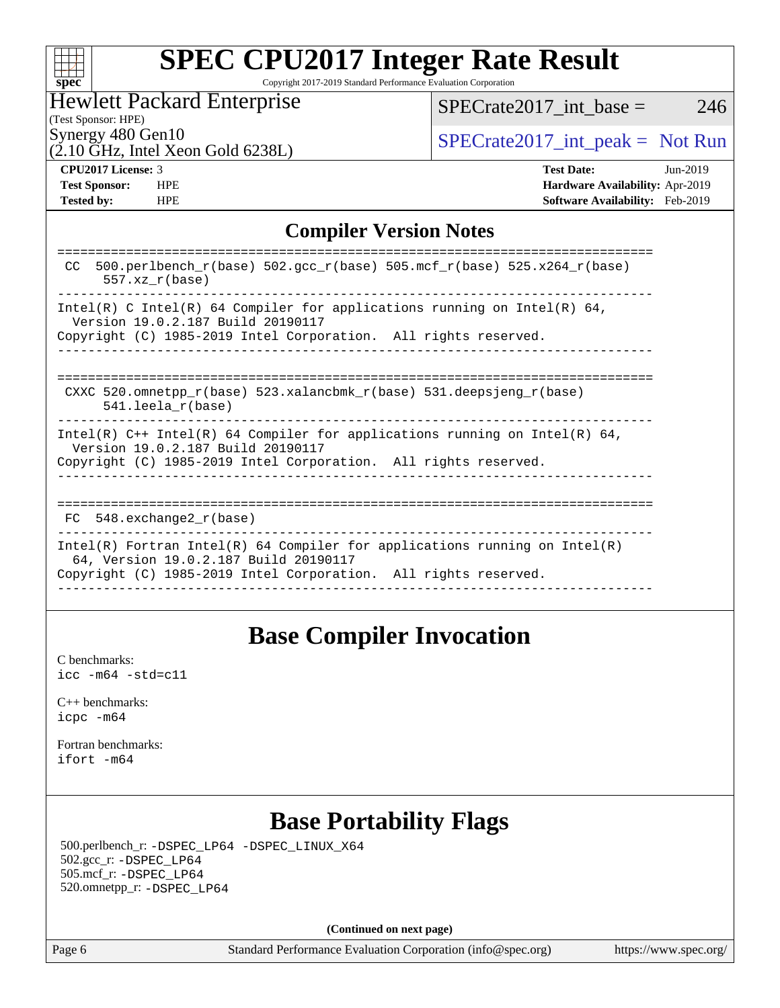| S | Dе |  |
|---|----|--|

Copyright 2017-2019 Standard Performance Evaluation Corporation

## Hewlett Packard Enterprise

 $SPECTate2017\_int\_base = 246$ 

(2.10 GHz, Intel Xeon Gold 6238L)

Synergy 480 Gen10<br>  $SPECrate2017_$ int\_peak = Not Run

(Test Sponsor: HPE)

**[Tested by:](http://www.spec.org/auto/cpu2017/Docs/result-fields.html#Testedby)** HPE **[Software Availability:](http://www.spec.org/auto/cpu2017/Docs/result-fields.html#SoftwareAvailability)** Feb-2019

**[CPU2017 License:](http://www.spec.org/auto/cpu2017/Docs/result-fields.html#CPU2017License)** 3 **[Test Date:](http://www.spec.org/auto/cpu2017/Docs/result-fields.html#TestDate)** Jun-2019 **[Test Sponsor:](http://www.spec.org/auto/cpu2017/Docs/result-fields.html#TestSponsor)** HPE **[Hardware Availability:](http://www.spec.org/auto/cpu2017/Docs/result-fields.html#HardwareAvailability)** Apr-2019

### **[Compiler Version Notes](http://www.spec.org/auto/cpu2017/Docs/result-fields.html#CompilerVersionNotes)**

| 500.perlbench $r(base)$ 502.qcc $r(base)$ 505.mcf $r(base)$ 525.x264 $r(base)$<br>CC.<br>$557.xx$ $r(base)$         |
|---------------------------------------------------------------------------------------------------------------------|
| Intel(R) C Intel(R) 64 Compiler for applications running on Intel(R) 64,                                            |
| Version 19.0.2.187 Build 20190117                                                                                   |
| Copyright (C) 1985-2019 Intel Corporation. All rights reserved.                                                     |
|                                                                                                                     |
|                                                                                                                     |
| CXXC 520.omnetpp $r(base)$ 523.xalancbmk $r(base)$ 531.deepsjeng $r(base)$                                          |
| $541.$ leela r(base)                                                                                                |
| Intel(R) $C++$ Intel(R) 64 Compiler for applications running on Intel(R) 64,<br>Version 19.0.2.187 Build 20190117   |
| Copyright (C) 1985-2019 Intel Corporation. All rights reserved.                                                     |
|                                                                                                                     |
|                                                                                                                     |
| 548.exchange2 r(base)<br>FC                                                                                         |
| Intel(R) Fortran Intel(R) 64 Compiler for applications running on Intel(R)<br>64, Version 19.0.2.187 Build 20190117 |
| Copyright (C) 1985-2019 Intel Corporation. All rights reserved.                                                     |
|                                                                                                                     |

## **[Base Compiler Invocation](http://www.spec.org/auto/cpu2017/Docs/result-fields.html#BaseCompilerInvocation)**

[C benchmarks](http://www.spec.org/auto/cpu2017/Docs/result-fields.html#Cbenchmarks): [icc -m64 -std=c11](http://www.spec.org/cpu2017/results/res2019q3/cpu2017-20190624-15610.flags.html#user_CCbase_intel_icc_64bit_c11_33ee0cdaae7deeeab2a9725423ba97205ce30f63b9926c2519791662299b76a0318f32ddfffdc46587804de3178b4f9328c46fa7c2b0cd779d7a61945c91cd35)

[C++ benchmarks:](http://www.spec.org/auto/cpu2017/Docs/result-fields.html#CXXbenchmarks) [icpc -m64](http://www.spec.org/cpu2017/results/res2019q3/cpu2017-20190624-15610.flags.html#user_CXXbase_intel_icpc_64bit_4ecb2543ae3f1412ef961e0650ca070fec7b7afdcd6ed48761b84423119d1bf6bdf5cad15b44d48e7256388bc77273b966e5eb805aefd121eb22e9299b2ec9d9)

[Fortran benchmarks](http://www.spec.org/auto/cpu2017/Docs/result-fields.html#Fortranbenchmarks): [ifort -m64](http://www.spec.org/cpu2017/results/res2019q3/cpu2017-20190624-15610.flags.html#user_FCbase_intel_ifort_64bit_24f2bb282fbaeffd6157abe4f878425411749daecae9a33200eee2bee2fe76f3b89351d69a8130dd5949958ce389cf37ff59a95e7a40d588e8d3a57e0c3fd751)

## **[Base Portability Flags](http://www.spec.org/auto/cpu2017/Docs/result-fields.html#BasePortabilityFlags)**

 500.perlbench\_r: [-DSPEC\\_LP64](http://www.spec.org/cpu2017/results/res2019q3/cpu2017-20190624-15610.flags.html#b500.perlbench_r_basePORTABILITY_DSPEC_LP64) [-DSPEC\\_LINUX\\_X64](http://www.spec.org/cpu2017/results/res2019q3/cpu2017-20190624-15610.flags.html#b500.perlbench_r_baseCPORTABILITY_DSPEC_LINUX_X64) 502.gcc\_r: [-DSPEC\\_LP64](http://www.spec.org/cpu2017/results/res2019q3/cpu2017-20190624-15610.flags.html#suite_basePORTABILITY502_gcc_r_DSPEC_LP64) 505.mcf\_r: [-DSPEC\\_LP64](http://www.spec.org/cpu2017/results/res2019q3/cpu2017-20190624-15610.flags.html#suite_basePORTABILITY505_mcf_r_DSPEC_LP64) 520.omnetpp\_r: [-DSPEC\\_LP64](http://www.spec.org/cpu2017/results/res2019q3/cpu2017-20190624-15610.flags.html#suite_basePORTABILITY520_omnetpp_r_DSPEC_LP64)

**(Continued on next page)**

Page 6 Standard Performance Evaluation Corporation [\(info@spec.org\)](mailto:info@spec.org) <https://www.spec.org/>